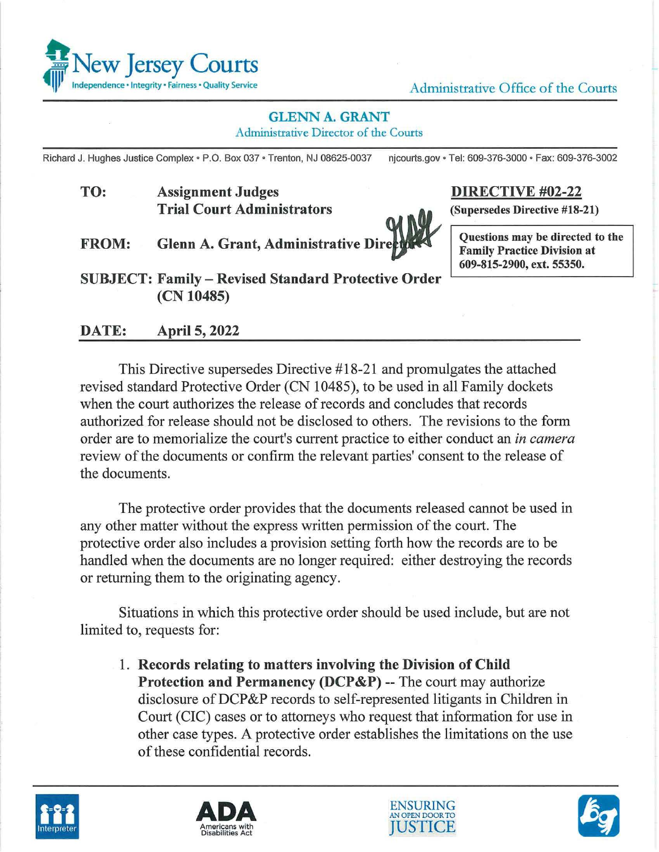

## **GLENN A. GRANT**

Administrative Director of the Courts

Richard J. Hughes Justice Complex• P.O. Box 037 • Trenton, NJ 08625-0037 njcourts.gov • Tel: 609-376-3000 • Fax: 609-376-3002

**TO: Assignment Judges Trial Court Administrators** 



**DIRECTIVE #02-22** 

**(Supersedes Directive #18-21)** 

**FROM:** Glenn A. Grant, Administrative Director Cuestions may be directed to the



**Family Practice Division at 609-815-2900, ext. 55350.** 

**SUBJECT: Family** - **Revised Standard Protective Order (CN 10485)** 

**DATE: April 5, 2022** 

This Directive supersedes Directive #18-21 and promulgates the attached revised standard Protective Order (CN 10485), to be used in all Family dockets when the court authorizes the release of records and concludes that records authorized for release should not be disclosed to others. The revisions to the form order are to memorialize the court's current practice to either conduct an *in camera*  review of the documents or confirm the relevant parties' consent to the release of the documents.

The protective order provides that the documents released cannot be used in any other matter without the express written permission of the court. The protective order also includes a provision setting forth how the records are to be handled when the documents are no longer required: either destroying the records or returning them to the originating agency.

Situations in which this protective order should be used include, but are not limited to, requests for:

1. **Records relating to matters involving the Division of Child Protection and Permanency (DCP&P)** -- The court may authorize disclosure of DCP&P records to self-represented litigants in Children in Court (CIC) cases or to attorneys who request that information for use in other case types. A protective order establishes the limitations on the use of these confidential records.







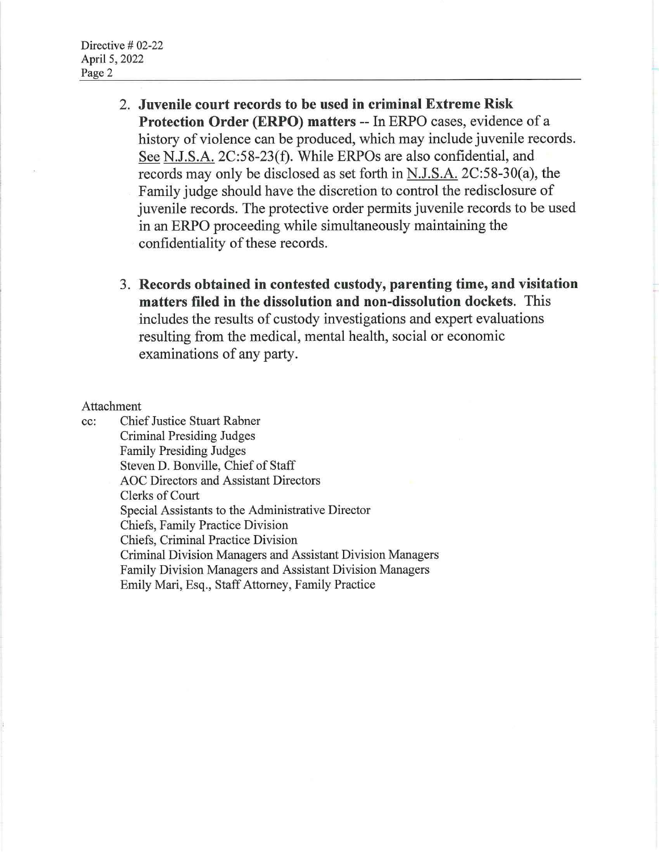- 2. **Juvenile court records to be used in criminal Extreme Risk Protection Order (ERPO) matters** -- In ERPO cases, evidence of a history of violence can be produced, which may include juvenile records. See N.J.S.A. 2C:58-23(f). While ERPOs are also confidential, and records may only be disclosed as set forth in N.J.S.A. 2C:58-30(a), the Family judge should have the discretion to control the redisclosure of juvenile records. The protective order permits juvenile records to be used in an ERPO proceeding while simultaneously maintaining the confidentiality of these records.
- 3. **Records obtained in contested custody, parenting time, and visitation matters filed in the dissolution and non-dissolution dockets.** This includes the results of custody investigations and expert evaluations resulting from the medical, mental health, social or economic examinations of any party.

## Attachment

cc: Chief Justice Stuart Rabner Criminal Presiding Judges Family Presiding Judges Steven D. Bonville, Chief of Staff AOC Directors and Assistant Directors Clerks of Court Special Assistants to the Administrative Director Chiefs, Family Practice Division Chiefs, Criminal Practice Division Criminal Division Managers and Assistant Division Managers Family Division Managers and Assistant Division Managers Emily Mari, Esq., Staff Attorney, Family Practice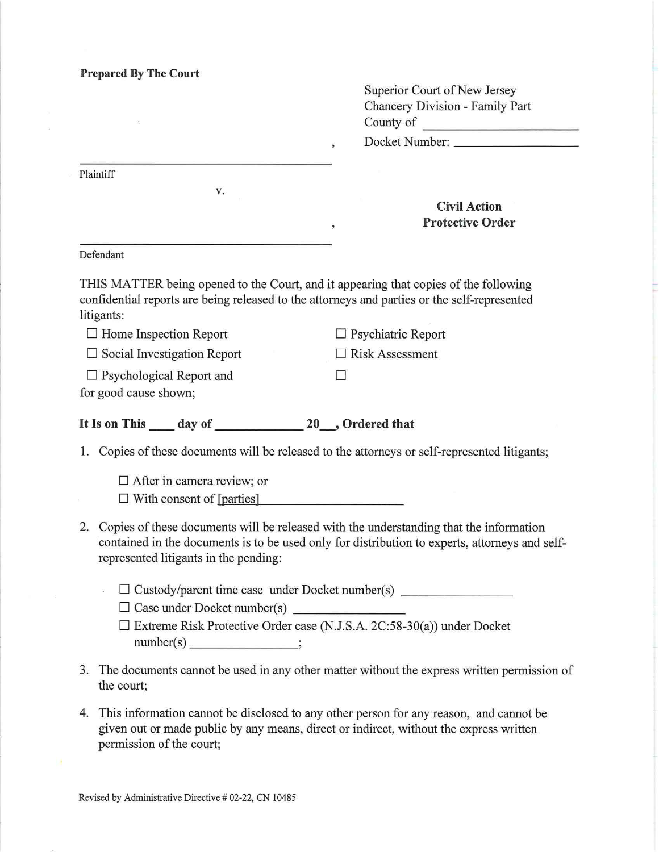| <b>Prepared By The Court</b> |  |  |
|------------------------------|--|--|
|------------------------------|--|--|

|    |                                                                                                                                                                                                                                   | Superior Court of New Jersey<br>Chancery Division - Family Part |
|----|-----------------------------------------------------------------------------------------------------------------------------------------------------------------------------------------------------------------------------------|-----------------------------------------------------------------|
|    |                                                                                                                                                                                                                                   | County of                                                       |
|    |                                                                                                                                                                                                                                   | Docket Number:<br>ź.                                            |
|    | Plaintiff                                                                                                                                                                                                                         |                                                                 |
|    | V.                                                                                                                                                                                                                                |                                                                 |
|    |                                                                                                                                                                                                                                   | <b>Civil Action</b>                                             |
|    |                                                                                                                                                                                                                                   | <b>Protective Order</b><br>$\bullet$                            |
|    | Defendant                                                                                                                                                                                                                         |                                                                 |
|    | THIS MATTER being opened to the Court, and it appearing that copies of the following<br>confidential reports are being released to the attorneys and parties or the self-represented<br>litigants:                                |                                                                 |
|    | $\Box$ Home Inspection Report                                                                                                                                                                                                     | Psychiatric Report                                              |
|    | $\Box$ Social Investigation Report                                                                                                                                                                                                | <b>Risk Assessment</b>                                          |
|    | $\Box$ Psychological Report and                                                                                                                                                                                                   |                                                                 |
|    | for good cause shown;                                                                                                                                                                                                             |                                                                 |
|    |                                                                                                                                                                                                                                   |                                                                 |
|    | 1. Copies of these documents will be released to the attorneys or self-represented litigants;                                                                                                                                     |                                                                 |
|    | $\Box$ After in camera review; or<br>$\Box$ With consent of [parties]                                                                                                                                                             |                                                                 |
| 2. | Copies of these documents will be released with the understanding that the information<br>contained in the documents is to be used only for distribution to experts, attorneys and self-<br>represented litigants in the pending: |                                                                 |
|    | □ Custody/parent time case under Docket number(s) ______________________________                                                                                                                                                  |                                                                 |
|    | □ Case under Docket number(s)                                                                                                                                                                                                     |                                                                 |
|    | $\Box$ Extreme Risk Protective Order case (N.J.S.A. 2C:58-30(a)) under Docket<br>$number(s)$ ______________;                                                                                                                      |                                                                 |
|    | documents connect be used in one other motter without the current way                                                                                                                                                             |                                                                 |

- 3. The documents cannot be used in any other matter without the express written permission of the court;
- 4. This information cannot be disclosed to any other person for any reason, and cannot be given out or made public by any means, direct or indirect, without the express written permission of the court;